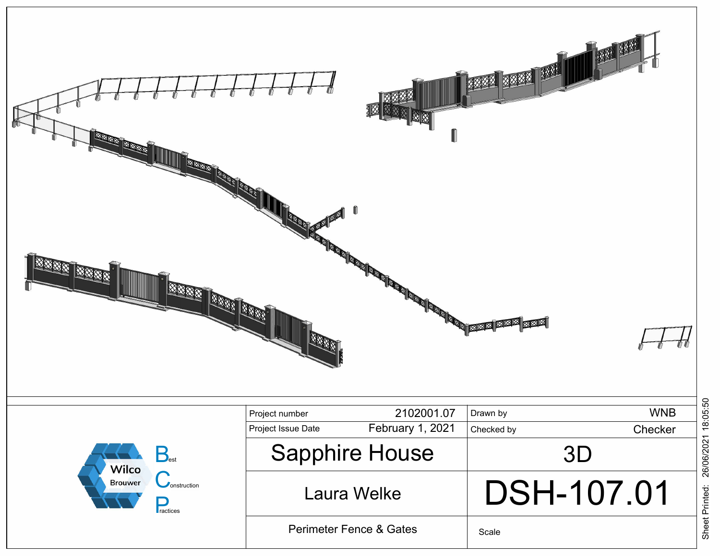

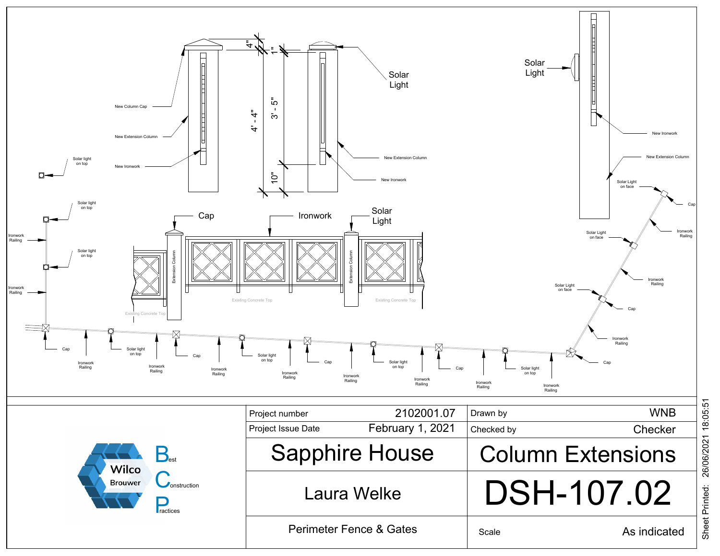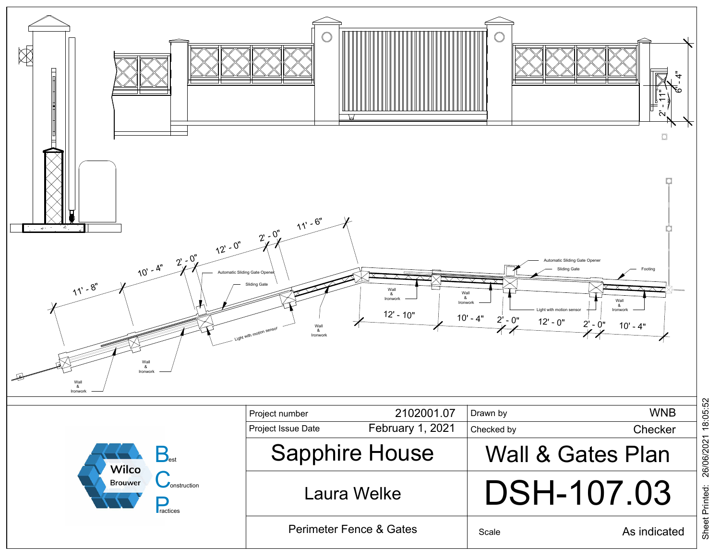

26/06/2021 18:05:52 26/06/2021 18:05:52 Sheet Printed: Sheet Printed: